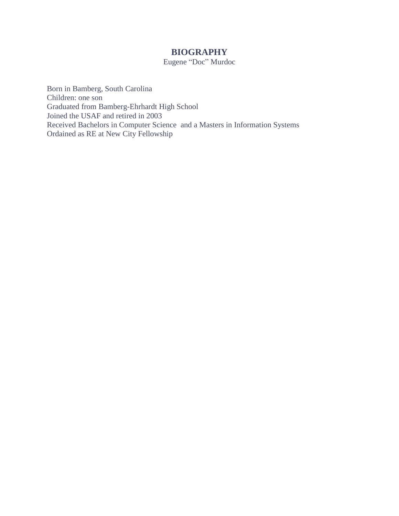## **BIOGRAPHY** Eugene "Doc" Murdoc

Born in Bamberg, South Carolina Children: one son Graduated from Bamberg-Ehrhardt High School Joined the USAF and retired in 2003 Received Bachelors in Computer Science and a Masters in Information Systems Ordained as RE at New City Fellowship